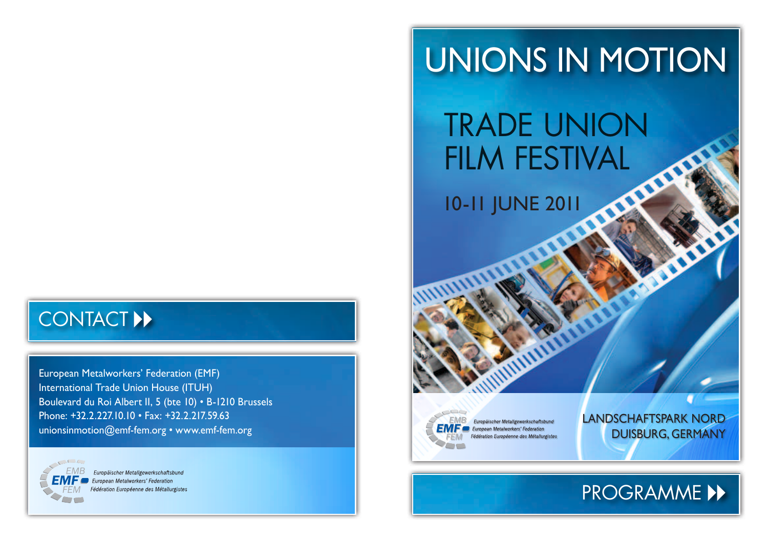## contact ▸▸

European Metalworkers' Federation (EMF) International Trade Union House (ITUH) Boulevard du Roi Albert II, 5 (bte 10) • B-1210 Brussels Phone: +32.2.227.10.10 • Fax: +32.2.217.59.63 unionsinmotion@emf-fem.org • www.emf-fem.org



Europäischer Metallgewerkschaftsbund European Metalworkers' Federation Fédération Européenne des Métallurgistes

## Unions in motioN

# Trade union FILM FESTIVAL

10-11 June 2011



Europäischer Metallgewerkschaftsbund **European Metalworkers' Federation** Fédération Européenne des Métallurgistes Landschaftspark Nord Duisburg, Germany

## programme ▸▸